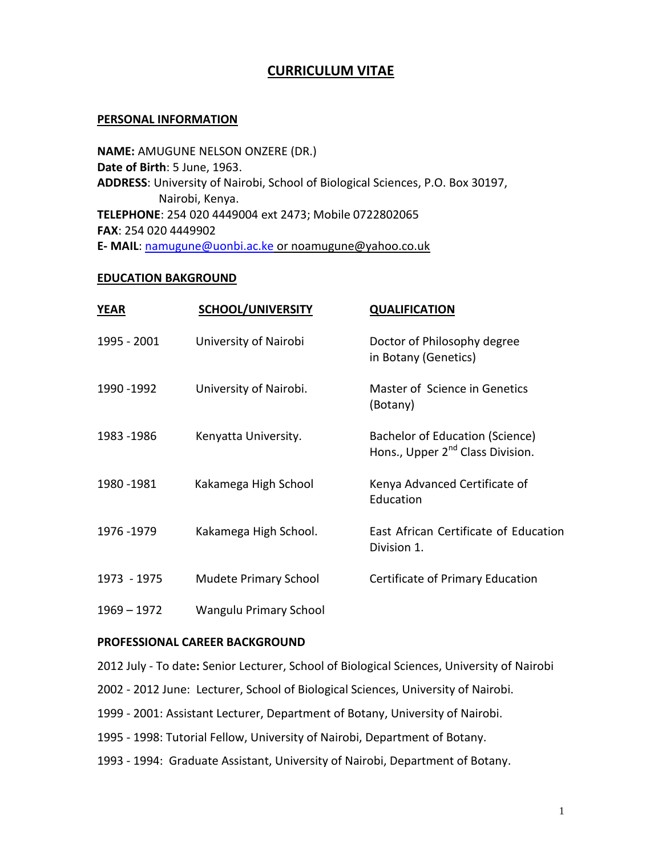# **CURRICULUM VITAE**

#### **PERSONAL INFORMATION**

**NAME:** AMUGUNE NELSON ONZERE (DR.) **Date of Birth**: 5 June, 1963. **ADDRESS**: University of Nairobi, School of Biological Sciences, P.O. Box 30197, Nairobi, Kenya. **TELEPHONE**: 254 020 4449004 ext 2473; Mobile 0722802065 **FAX**: 254 020 4449902 **E- MAIL**: [namugune@uonbi.ac.ke](mailto:namugune@uonbi.ac.ke) or [noamugune@yahoo.co.uk](mailto:noamugune@yahoo.co.uk)

#### **EDUCATION BAKGROUND**

| <b>YEAR</b>   | <b>SCHOOL/UNIVERSITY</b>     | <b>QUALIFICATION</b>                                                            |
|---------------|------------------------------|---------------------------------------------------------------------------------|
| 1995 - 2001   | University of Nairobi        | Doctor of Philosophy degree<br>in Botany (Genetics)                             |
| 1990 - 1992   | University of Nairobi.       | Master of Science in Genetics<br>(Botany)                                       |
| 1983 - 1986   | Kenyatta University.         | Bachelor of Education (Science)<br>Hons., Upper 2 <sup>nd</sup> Class Division. |
| 1980 - 1981   | Kakamega High School         | Kenya Advanced Certificate of<br>Education                                      |
| 1976 - 1979   | Kakamega High School.        | East African Certificate of Education<br>Division 1.                            |
| 1973 - 1975   | <b>Mudete Primary School</b> | Certificate of Primary Education                                                |
| $1969 - 1972$ | Wangulu Primary School       |                                                                                 |

## **PROFESSIONAL CAREER BACKGROUND**

- 2012 July To date**:** Senior Lecturer, School of Biological Sciences, University of Nairobi
- 2002 2012 June: Lecturer, School of Biological Sciences, University of Nairobi.
- 1999 2001: Assistant Lecturer, Department of Botany, University of Nairobi.
- 1995 1998: Tutorial Fellow, University of Nairobi, Department of Botany.
- 1993 1994: Graduate Assistant, University of Nairobi, Department of Botany.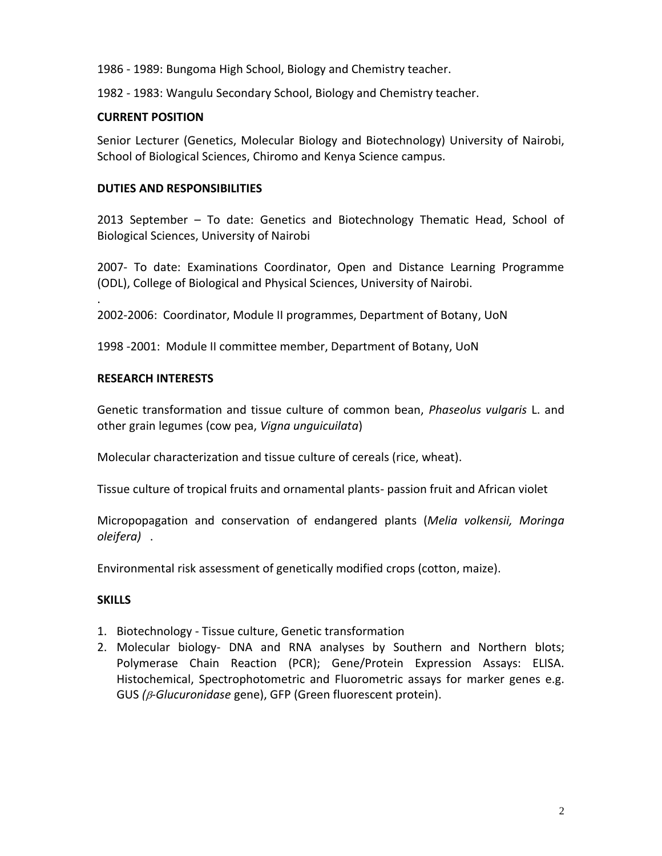1986 - 1989: Bungoma High School, Biology and Chemistry teacher.

1982 - 1983: Wangulu Secondary School, Biology and Chemistry teacher.

#### **CURRENT POSITION**

Senior Lecturer (Genetics, Molecular Biology and Biotechnology) University of Nairobi, School of Biological Sciences, Chiromo and Kenya Science campus.

#### **DUTIES AND RESPONSIBILITIES**

2013 September – To date: Genetics and Biotechnology Thematic Head, School of Biological Sciences, University of Nairobi

2007- To date: Examinations Coordinator, Open and Distance Learning Programme (ODL), College of Biological and Physical Sciences, University of Nairobi.

2002-2006: Coordinator, Module II programmes, Department of Botany, UoN

1998 -2001: Module II committee member, Department of Botany, UoN

#### **RESEARCH INTERESTS**

.

Genetic transformation and tissue culture of common bean, *Phaseolus vulgaris* L. and other grain legumes (cow pea, *Vigna unguicuilata*)

Molecular characterization and tissue culture of cereals (rice, wheat).

Tissue culture of tropical fruits and ornamental plants- passion fruit and African violet

Micropopagation and conservation of endangered plants (*Melia volkensii, Moringa oleifera)* .

Environmental risk assessment of genetically modified crops (cotton, maize).

## **SKILLS**

- 1. Biotechnology Tissue culture, Genetic transformation
- 2. Molecular biology- DNA and RNA analyses by Southern and Northern blots; Polymerase Chain Reaction (PCR); Gene/Protein Expression Assays: ELISA. Histochemical, Spectrophotometric and Fluorometric assays for marker genes e.g. GUS ( $\beta$ -Glucuronidase gene), GFP (Green fluorescent protein).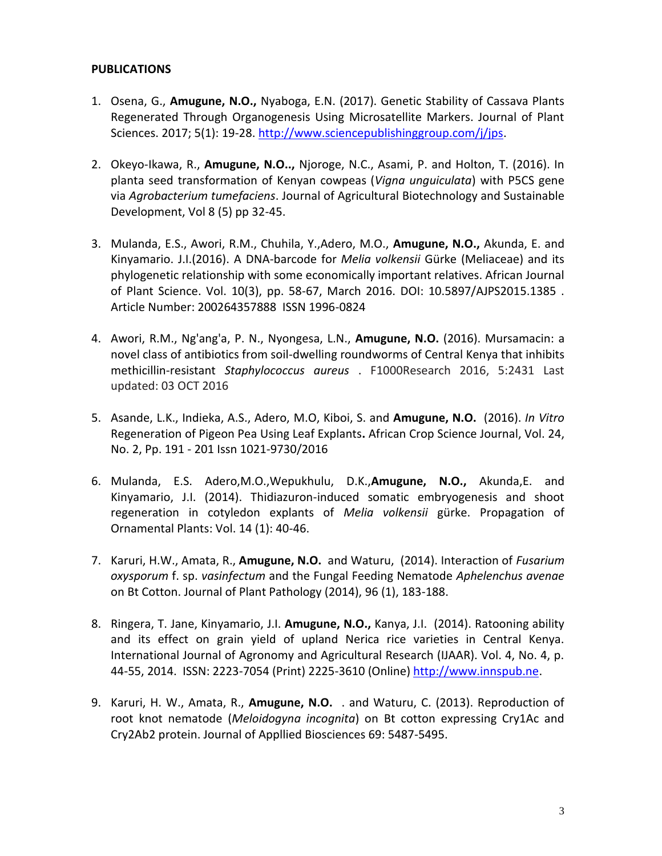#### **PUBLICATIONS**

- 1. Osena, G., **Amugune, N.O.,** Nyaboga, E.N. (2017). Genetic Stability of Cassava Plants Regenerated Through Organogenesis Using Microsatellite Markers. Journal of Plant Sciences. 2017; 5(1): 19-28. [http://www.sciencepublishinggroup.com/j/jps.](http://www.sciencepublishinggroup.com/j/jps)
- 2. Okeyo-Ikawa, R., **Amugune, N.O..,** Njoroge, N.C., Asami, P. and Holton, T. (2016). In planta seed transformation of Kenyan cowpeas (*Vigna unguiculata*) with P5CS gene via *Agrobacterium tumefaciens*. Journal of Agricultural Biotechnology and Sustainable Development, Vol 8 (5) pp 32-45.
- 3. Mulanda, E.S., Awori, R.M., Chuhila, Y.,Adero, M.O., **Amugune, N.O.,** Akunda, E. and Kinyamario. J.I.(2016). A DNA-barcode for *Melia volkensii* Gürke (Meliaceae) and its phylogenetic relationship with some economically important relatives. African Journal of Plant Science. Vol. 10(3), pp. 58-67, March 2016. DOI: 10.5897/AJPS2015.1385 . Article Number: 200264357888 ISSN 1996-0824
- 4. Awori, R.M., Ng'ang'a, P. N., Nyongesa, L.N., **Amugune, N.O.** (2016). Mursamacin: a novel class of antibiotics from soil-dwelling roundworms of Central Kenya that inhibits methicillin-resistant *Staphylococcus aureus* . F1000Research 2016, 5:2431 Last updated: 03 OCT 2016
- 5. Asande, L.K., Indieka, A.S., Adero, M.O, Kiboi, S. and **Amugune, N.O.** (2016). *In Vitro*  Regeneration of Pigeon Pea Using Leaf Explants**.** African Crop Science Journal, Vol. 24, No. 2, Pp. 191 - 201 Issn 1021-9730/2016
- 6. Mulanda, E.S. Adero,M.O.,Wepukhulu, D.K.,**Amugune, N.O.,** Akunda,E. and Kinyamario, J.I. (2014). Thidiazuron-induced somatic embryogenesis and shoot regeneration in cotyledon explants of *Melia volkensii* gürke. Propagation of Ornamental Plants: Vol. 14 (1): 40-46.
- 7. Karuri, H.W., Amata, R., **Amugune, N.O.** and Waturu, (2014). Interaction of *Fusarium oxysporum* f. sp. *vasinfectum* and the Fungal Feeding Nematode *Aphelenchus avenae*  on Bt Cotton. Journal of Plant Pathology (2014), 96 (1), 183-188.
- 8. Ringera, T. Jane, Kinyamario, J.I. **Amugune, N.O.,** Kanya, J.I. (2014). Ratooning ability and its effect on grain yield of upland Nerica rice varieties in Central Kenya. International Journal of Agronomy and Agricultural Research (IJAAR). Vol. 4, No. 4, p. 44-55, 2014. ISSN: 2223-7054 (Print) 2225-3610 (Online) [http://www.innspub.ne.](http://www.innspub.ne/)
- 9. Karuri, H. W., Amata, R., **Amugune, N.O.** . and Waturu, C. (2013). Reproduction of root knot nematode (*Meloidogyna incognita*) on Bt cotton expressing Cry1Ac and Cry2Ab2 protein. Journal of Appllied Biosciences 69: 5487-5495.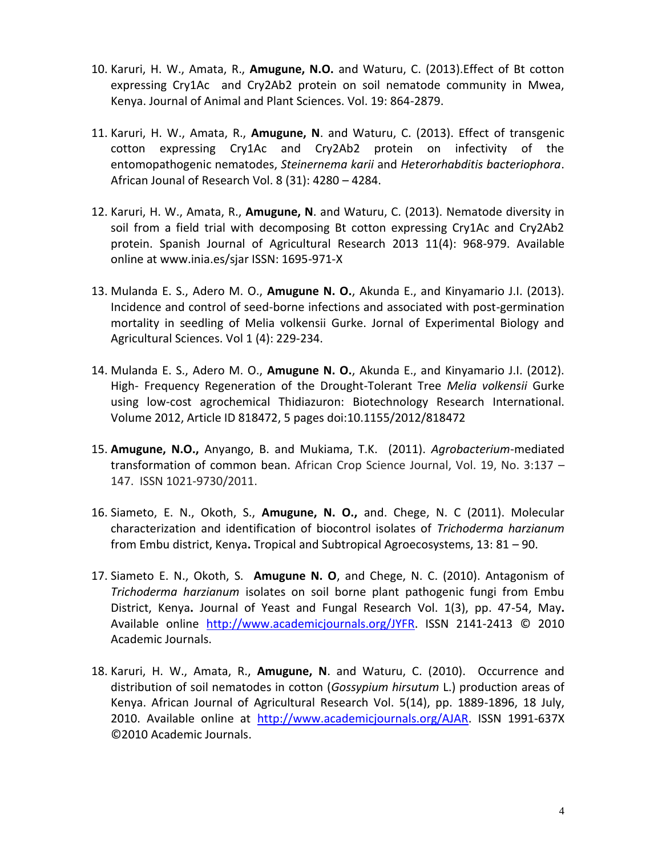- 10. Karuri, H. W., Amata, R., **Amugune, N.O.** and Waturu, C. (2013).Effect of Bt cotton expressing Cry1Ac and Cry2Ab2 protein on soil nematode community in Mwea, Kenya. Journal of Animal and Plant Sciences. Vol. 19: 864-2879.
- 11. Karuri, H. W., Amata, R., **Amugune, N**. and Waturu, C. (2013). Effect of transgenic cotton expressing Cry1Ac and Cry2Ab2 protein on infectivity of the entomopathogenic nematodes, *Steinernema karii* and *Heterorhabditis bacteriophora*. African Jounal of Research Vol. 8 (31): 4280 – 4284.
- 12. Karuri, H. W., Amata, R., **Amugune, N**. and Waturu, C. (2013). Nematode diversity in soil from a field trial with decomposing Bt cotton expressing Cry1Ac and Cry2Ab2 protein. Spanish Journal of Agricultural Research 2013 11(4): 968-979. Available online at www.inia.es/sjar ISSN: 1695-971-X
- 13. Mulanda E. S., Adero M. O., **Amugune N. O.**, Akunda E., and Kinyamario J.I. (2013). Incidence and control of seed-borne infections and associated with post-germination mortality in seedling of Melia volkensii Gurke. Jornal of Experimental Biology and Agricultural Sciences. Vol 1 (4): 229-234.
- 14. Mulanda E. S., Adero M. O., **Amugune N. O.**, Akunda E., and Kinyamario J.I. (2012). High- Frequency Regeneration of the Drought-Tolerant Tree *Melia volkensii* Gurke using low-cost agrochemical Thidiazuron: Biotechnology Research International. Volume 2012, Article ID 818472, 5 pages doi:10.1155/2012/818472
- 15. **Amugune, N.O.,** Anyango, B. and Mukiama, T.K. (2011). *Agrobacterium*-mediated transformation of common bean. African Crop Science Journal, Vol. 19, No. 3:137 – 147. ISSN 1021-9730/2011.
- 16. Siameto, E. N., Okoth, S., **Amugune, N. O.,** and. Chege, N. C (2011). Molecular characterization and identification of biocontrol isolates of *Trichoderma harzianum*  from Embu district, Kenya**.** Tropical and Subtropical Agroecosystems, 13: 81 – 90.
- 17. Siameto E. N., Okoth, S. **Amugune N. O**, and Chege, N. C. (2010). Antagonism of *Trichoderma harzianum* isolates on soil borne plant pathogenic fungi from Embu District, Kenya**.** Journal of Yeast and Fungal Research Vol. 1(3), pp. 47-54, May**.**  Available online [http://www.academicjournals.org/JYFR.](http://www.academicjournals.org/JYFR) ISSN 2141-2413 © 2010 Academic Journals.
- 18. Karuri, H. W., Amata, R., **Amugune, N**. and Waturu, C. (2010). Occurrence and distribution of soil nematodes in cotton (*Gossypium hirsutum* L.) production areas of Kenya. African Journal of Agricultural Research Vol. 5(14), pp. 1889-1896, 18 July, 2010. Available online at [http://www.academicjournals.org/AJAR.](http://www.academicjournals.org/AJAR) ISSN 1991-637X ©2010 Academic Journals.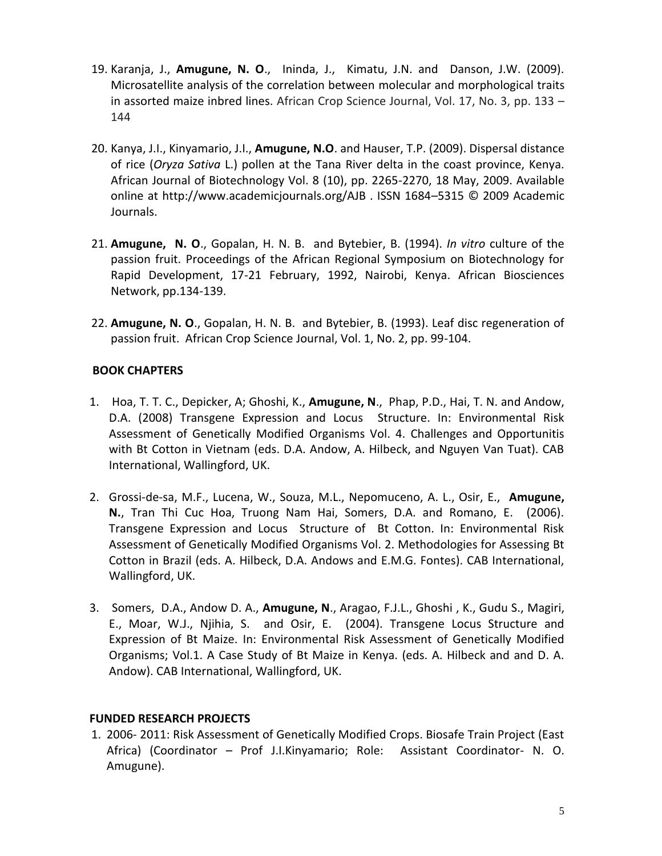- 19. Karanja, J., **Amugune, N. O**., Ininda, J., Kimatu, J.N. and Danson, J.W. (2009). Microsatellite analysis of the correlation between molecular and morphological traits in assorted maize inbred lines. African Crop Science Journal, Vol. 17, No. 3, pp. 133 – 144
- 20. Kanya, J.I., Kinyamario, J.I., **Amugune, N.O**. and Hauser, T.P. (2009). Dispersal distance of rice (*Oryza Sativa* L.) pollen at the Tana River delta in the coast province, Kenya. African Journal of Biotechnology Vol. 8 (10), pp. 2265-2270, 18 May, 2009. Available online at http://www.academicjournals.org/AJB . ISSN 1684–5315 © 2009 Academic Journals.
- 21. **Amugune, N. O**., Gopalan, H. N. B. and Bytebier, B. (1994). *In vitro* culture of the passion fruit. Proceedings of the African Regional Symposium on Biotechnology for Rapid Development, 17-21 February, 1992, Nairobi, Kenya. African Biosciences Network, pp.134-139.
- 22. **Amugune, N. O**., Gopalan, H. N. B. and Bytebier, B. (1993). Leaf disc regeneration of passion fruit. African Crop Science Journal, Vol. 1, No. 2, pp. 99-104.

## **BOOK CHAPTERS**

- 1. Hoa, T. T. C., Depicker, A; Ghoshi, K., **Amugune, N**., Phap, P.D., Hai, T. N. and Andow, D.A. (2008) Transgene Expression and Locus Structure. In: Environmental Risk Assessment of Genetically Modified Organisms Vol. 4. Challenges and Opportunitis with Bt Cotton in Vietnam (eds. D.A. Andow, A. Hilbeck, and Nguyen Van Tuat). CAB International, Wallingford, UK.
- 2. Grossi-de-sa, M.F., Lucena, W., Souza, M.L., Nepomuceno, A. L., Osir, E., **Amugune, N.**, Tran Thi Cuc Hoa, Truong Nam Hai, Somers, D.A. and Romano, E. (2006). Transgene Expression and Locus Structure of Bt Cotton. In: Environmental Risk Assessment of Genetically Modified Organisms Vol. 2. Methodologies for Assessing Bt Cotton in Brazil (eds. A. Hilbeck, D.A. Andows and E.M.G. Fontes). CAB International, Wallingford, UK.
- 3. Somers, D.A., Andow D. A., **Amugune, N**., Aragao, F.J.L., Ghoshi , K., Gudu S., Magiri, E., Moar, W.J., Njihia, S. and Osir, E. (2004). Transgene Locus Structure and Expression of Bt Maize. In: Environmental Risk Assessment of Genetically Modified Organisms; Vol.1. A Case Study of Bt Maize in Kenya. (eds. A. Hilbeck and and D. A. Andow). CAB International, Wallingford, UK.

## **FUNDED RESEARCH PROJECTS**

1. 2006- 2011: Risk Assessment of Genetically Modified Crops. Biosafe Train Project (East Africa) (Coordinator – Prof J.I.Kinyamario; Role: Assistant Coordinator- N. O. Amugune).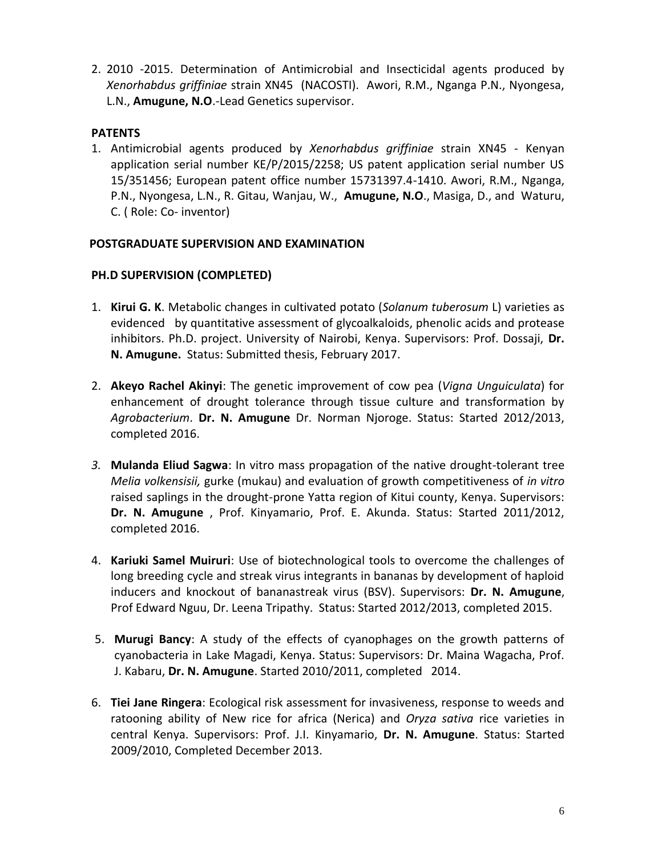2. 2010 -2015. Determination of Antimicrobial and Insecticidal agents produced by *Xenorhabdus griffiniae* strain XN45 (NACOSTI). Awori, R.M., Nganga P.N., Nyongesa, L.N., **Amugune, N.O**.-Lead Genetics supervisor.

#### **PATENTS**

1. Antimicrobial agents produced by *Xenorhabdus griffiniae* strain XN45 - Kenyan application serial number KE/P/2015/2258; US patent application serial number US 15/351456; European patent office number 15731397.4-1410. Awori, R.M., Nganga, P.N., Nyongesa, L.N., R. Gitau, Wanjau, W., **Amugune, N.O**., Masiga, D., and Waturu, C. ( Role: Co- inventor)

#### **POSTGRADUATE SUPERVISION AND EXAMINATION**

#### **PH.D SUPERVISION (COMPLETED)**

- 1. **Kirui G. K**. Metabolic changes in cultivated potato (*Solanum tuberosum* L) varieties as evidenced by quantitative assessment of glycoalkaloids, phenolic acids and protease inhibitors. Ph.D. project. University of Nairobi, Kenya. Supervisors: Prof. Dossaji, **Dr. N. Amugune.** Status: Submitted thesis, February 2017.
- 2. **Akeyo Rachel Akinyi**: The genetic improvement of cow pea (*Vigna Unguiculata*) for enhancement of drought tolerance through tissue culture and transformation by *Agrobacterium*. **Dr. N. Amugune** Dr. Norman Njoroge. Status: Started 2012/2013, completed 2016.
- *3.* **Mulanda Eliud Sagwa**: In vitro mass propagation of the native drought-tolerant tree *Melia volkensisii,* gurke (mukau) and evaluation of growth competitiveness of *in vitro* raised saplings in the drought-prone Yatta region of Kitui county, Kenya. Supervisors: **Dr. N. Amugune** , Prof. Kinyamario, Prof. E. Akunda. Status: Started 2011/2012, completed 2016.
- 4. **Kariuki Samel Muiruri**: Use of biotechnological tools to overcome the challenges of long breeding cycle and streak virus integrants in bananas by development of haploid inducers and knockout of bananastreak virus (BSV). Supervisors: **Dr. N. Amugune**, Prof Edward Nguu, Dr. Leena Tripathy. Status: Started 2012/2013, completed 2015.
- 5. **Murugi Bancy**: A study of the effects of cyanophages on the growth patterns of cyanobacteria in Lake Magadi, Kenya. Status: Supervisors: Dr. Maina Wagacha, Prof. J. Kabaru, **Dr. N. Amugune**. Started 2010/2011, completed 2014.
- 6. **Tiei Jane Ringera**: Ecological risk assessment for invasiveness, response to weeds and ratooning ability of New rice for africa (Nerica) and *Oryza sativa* rice varieties in central Kenya. Supervisors: Prof. J.I. Kinyamario, **Dr. N. Amugune**. Status: Started 2009/2010, Completed December 2013.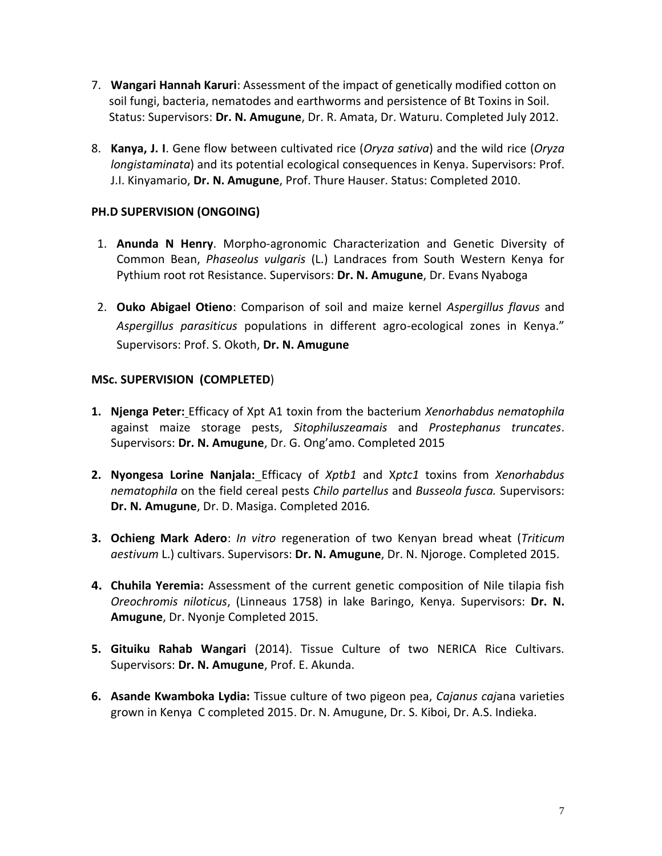- 7. **Wangari Hannah Karuri**: Assessment of the impact of genetically modified cotton on soil fungi, bacteria, nematodes and earthworms and persistence of Bt Toxins in Soil. Status: Supervisors: **Dr. N. Amugune**, Dr. R. Amata, Dr. Waturu. Completed July 2012.
- 8. **Kanya, J. I**. Gene flow between cultivated rice (*Oryza sativa*) and the wild rice (*Oryza longistaminata*) and its potential ecological consequences in Kenya. Supervisors: Prof. J.I. Kinyamario, **Dr. N. Amugune**, Prof. Thure Hauser. Status: Completed 2010.

## **PH.D SUPERVISION (ONGOING)**

- 1. **Anunda N Henry**. Morpho-agronomic Characterization and Genetic Diversity of Common Bean, *Phaseolus vulgaris* (L.) Landraces from South Western Kenya for Pythium root rot Resistance. Supervisors: **Dr. N. Amugune**, Dr. Evans Nyaboga
- 2. **Ouko Abigael Otieno**: Comparison of soil and maize kernel *Aspergillus flavus* and *Aspergillus parasiticus* populations in different agro-ecological zones in Kenya." Supervisors: Prof. S. Okoth, **Dr. N. Amugune**

## **MSc. SUPERVISION (COMPLETED**)

- **1. Njenga Peter:** Efficacy of Xpt A1 toxin from the bacterium *Xenorhabdus nematophila* against maize storage pests, *Sitophiluszeamais* and *Prostephanus truncates*. Supervisors: **Dr. N. Amugune**, Dr. G. Ong'amo. Completed 2015
- **2. Nyongesa Lorine Nanjala:** Efficacy of *Xptb1* and X*ptc1* toxins from *Xenorhabdus nematophila* on the field cereal pests *Chilo partellus* and *Busseola fusca.* Supervisors: **Dr. N. Amugune**, Dr. D. Masiga. Completed 2016*.*
- **3. Ochieng Mark Adero**: *In vitro* regeneration of two Kenyan bread wheat (*Triticum aestivum* L.) cultivars. Supervisors: **Dr. N. Amugune**, Dr. N. Njoroge. Completed 2015.
- **4. Chuhila Yeremia:** Assessment of the current genetic composition of Nile tilapia fish *Oreochromis niloticus*, (Linneaus 1758) in lake Baringo, Kenya. Supervisors: **Dr. N. Amugune**, Dr. Nyonje Completed 2015.
- **5. Gituiku Rahab Wangari** (2014). Tissue Culture of two NERICA Rice Cultivars. Supervisors: **Dr. N. Amugune**, Prof. E. Akunda.
- **6. Asande Kwamboka Lydia:** Tissue culture of two pigeon pea, *Cajanus caj*ana varieties grown in Kenya C completed 2015. Dr. N. Amugune, Dr. S. Kiboi, Dr. A.S. Indieka.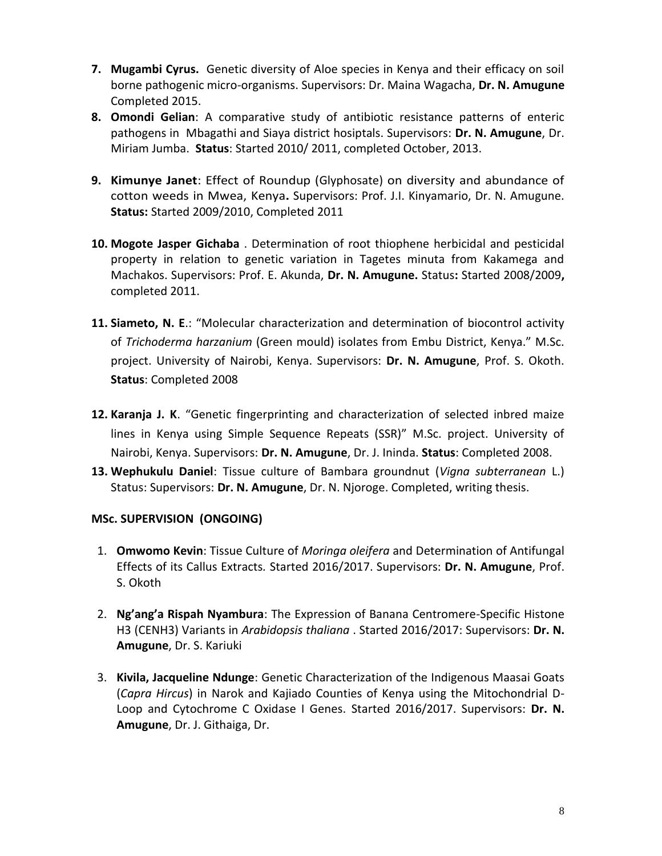- **7. Mugambi Cyrus.** Genetic diversity of Aloe species in Kenya and their efficacy on soil borne pathogenic micro-organisms. Supervisors: Dr. Maina Wagacha, **Dr. N. Amugune** Completed 2015.
- **8. Omondi Gelian**: A comparative study of antibiotic resistance patterns of enteric pathogens in Mbagathi and Siaya district hosiptals. Supervisors: **Dr. N. Amugune**, Dr. Miriam Jumba. **Status**: Started 2010/ 2011, completed October, 2013.
- **9. Kimunye Janet**: Effect of Roundup (Glyphosate) on diversity and abundance of cotton weeds in Mwea, Kenya**.** Supervisors: Prof. J.I. Kinyamario, Dr. N. Amugune. **Status:** Started 2009/2010, Completed 2011
- **10. Mogote Jasper Gichaba** . Determination of root thiophene herbicidal and pesticidal property in relation to genetic variation in Tagetes minuta from Kakamega and Machakos. Supervisors: Prof. E. Akunda, **Dr. N. Amugune.** Status**:** Started 2008/2009**,**  completed 2011.
- **11. Siameto, N. E**.: "Molecular characterization and determination of biocontrol activity of *Trichoderma harzanium* (Green mould) isolates from Embu District, Kenya." M.Sc. project. University of Nairobi, Kenya. Supervisors: **Dr. N. Amugune**, Prof. S. Okoth. **Status**: Completed 2008
- **12. Karanja J. K**. "Genetic fingerprinting and characterization of selected inbred maize lines in Kenya using Simple Sequence Repeats (SSR)" M.Sc. project. University of Nairobi, Kenya. Supervisors: **Dr. N. Amugune**, Dr. J. Ininda. **Status**: Completed 2008.
- **13. Wephukulu Daniel**: Tissue culture of Bambara groundnut (*Vigna subterranean* L.) Status: Supervisors: **Dr. N. Amugune**, Dr. N. Njoroge. Completed, writing thesis.

## **MSc. SUPERVISION (ONGOING)**

- 1. **Omwomo Kevin**: Tissue Culture of *Moringa oleifera* and Determination of Antifungal Effects of its Callus Extracts*.* Started 2016/2017. Supervisors: **Dr. N. Amugune**, Prof. S. Okoth
- 2. **Ng'ang'a Rispah Nyambura**: The Expression of Banana Centromere-Specific Histone H3 (CENH3) Variants in *Arabidopsis thaliana* . Started 2016/2017: Supervisors: **Dr. N. Amugune**, Dr. S. Kariuki
- 3. **Kivila, Jacqueline Ndunge**: Genetic Characterization of the Indigenous Maasai Goats (*Capra Hircus*) in Narok and Kajiado Counties of Kenya using the Mitochondrial D-Loop and Cytochrome C Oxidase I Genes. Started 2016/2017. Supervisors: **Dr. N. Amugune**, Dr. J. Githaiga, Dr.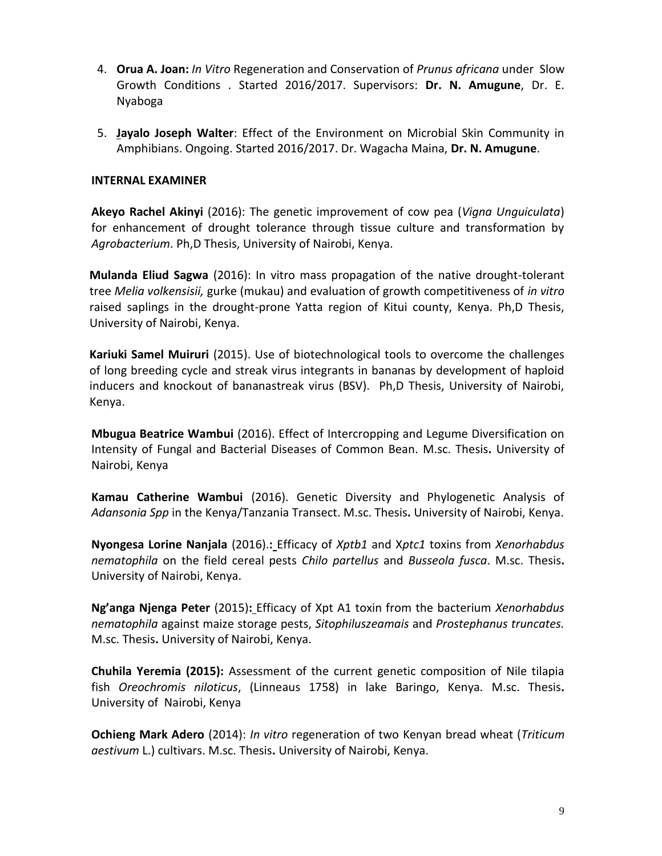- 4. **Orua A. Joan:** *In Vitro* Regeneration and Conservation of *Prunus africana* under Slow Growth Conditions . Started 2016/2017. Supervisors: **Dr. N. Amugune**, Dr. E. Nyaboga
- 5. **Jayalo Joseph Walter**: Effect of the Environment on Microbial Skin Community in Amphibians. Ongoing. Started 2016/2017. Dr. Wagacha Maina, **Dr. N. Amugune**.

#### **INTERNAL EXAMINER**

**Akeyo Rachel Akinyi** (2016): The genetic improvement of cow pea (*Vigna Unguiculata*) for enhancement of drought tolerance through tissue culture and transformation by *Agrobacterium*. Ph,D Thesis, University of Nairobi, Kenya.

**Mulanda Eliud Sagwa** (2016): In vitro mass propagation of the native drought-tolerant tree *Melia volkensisii,* gurke (mukau) and evaluation of growth competitiveness of *in vitro* raised saplings in the drought-prone Yatta region of Kitui county, Kenya. Ph,D Thesis, University of Nairobi, Kenya.

**Kariuki Samel Muiruri** (2015). Use of biotechnological tools to overcome the challenges of long breeding cycle and streak virus integrants in bananas by development of haploid inducers and knockout of bananastreak virus (BSV). Ph,D Thesis, University of Nairobi, Kenya.

**Mbugua Beatrice Wambui** (2016). Effect of Intercropping and Legume Diversification on Intensity of Fungal and Bacterial Diseases of Common Bean. M.sc. Thesis**.** University of Nairobi, Kenya

**Kamau Catherine Wambui** (2016). Genetic Diversity and Phylogenetic Analysis of *Adansonia Spp* in the Kenya/Tanzania Transect. M.sc. Thesis**.** University of Nairobi, Kenya.

**Nyongesa Lorine Nanjala** (2016).**:** Efficacy of *Xptb1* and X*ptc1* toxins from *Xenorhabdus nematophila* on the field cereal pests *Chilo partellus* and *Busseola fusca*. M.sc. Thesis**.**  University of Nairobi, Kenya.

**Ng'anga Njenga Peter** (2015)**:** Efficacy of Xpt A1 toxin from the bacterium *Xenorhabdus nematophila* against maize storage pests, *Sitophiluszeamais* and *Prostephanus truncates.* M.sc. Thesis**.** University of Nairobi, Kenya.

**Chuhila Yeremia (2015):** Assessment of the current genetic composition of Nile tilapia fish *Oreochromis niloticus*, (Linneaus 1758) in lake Baringo, Kenya. M.sc. Thesis**.**  University of Nairobi, Kenya

**Ochieng Mark Adero** (2014): *In vitro* regeneration of two Kenyan bread wheat (*Triticum aestivum* L.) cultivars. M.sc. Thesis**.** University of Nairobi, Kenya.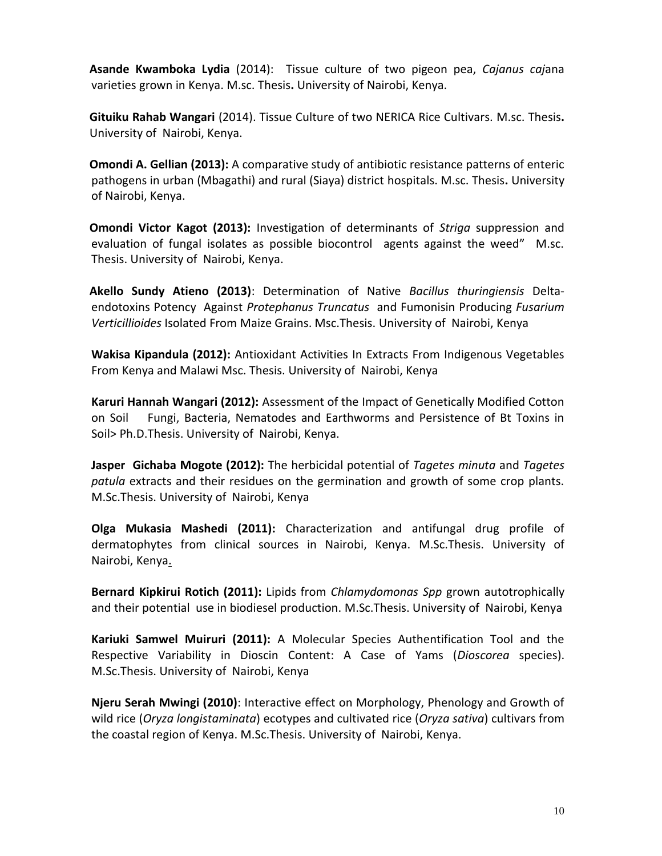**Asande Kwamboka Lydia** (2014):Tissue culture of two pigeon pea, *Cajanus caj*ana varieties grown in Kenya. M.sc. Thesis**.** University of Nairobi, Kenya.

**Gituiku Rahab Wangari** (2014). Tissue Culture of two NERICA Rice Cultivars. M.sc. Thesis**.**  University of Nairobi, Kenya.

**Omondi A. Gellian (2013):** A comparative study of antibiotic resistance patterns of enteric pathogens in urban (Mbagathi) and rural (Siaya) district hospitals. M.sc. Thesis**.** University of Nairobi, Kenya.

**Omondi Victor Kagot (2013):** Investigation of determinants of *Striga* suppression and evaluation of fungal isolates as possible biocontrol agents against the weed" M.sc. Thesis. University of Nairobi, Kenya.

**Akello Sundy Atieno (2013)**: Determination of Native *Bacillus thuringiensis* Deltaendotoxins Potency Against *Protephanus Truncatus* and Fumonisin Producing *Fusarium Verticillioides* Isolated From Maize Grains. Msc.Thesis. University of Nairobi, Kenya

**Wakisa Kipandula (2012):** Antioxidant Activities In Extracts From Indigenous Vegetables From Kenya and Malawi Msc. Thesis. University of Nairobi, Kenya

**Karuri Hannah Wangari (2012):** Assessment of the Impact of Genetically Modified Cotton on Soil Fungi, Bacteria, Nematodes and Earthworms and Persistence of Bt Toxins in Soil> Ph.D.Thesis. University of Nairobi, Kenya.

**Jasper Gichaba Mogote (2012):** The herbicidal potential of *Tagetes minuta* and *Tagetes patula* extracts and their residues on the germination and growth of some crop plants. M.Sc.Thesis. University of Nairobi, Kenya

**Olga Mukasia Mashedi (2011):** Characterization and antifungal drug profile of dermatophytes from clinical sources in Nairobi, Kenya. M.Sc.Thesis. University of Nairobi, Kenya.

**Bernard Kipkirui Rotich (2011):** Lipids from *Chlamydomonas Spp* grown autotrophically and their potential use in biodiesel production. M.Sc.Thesis. University of Nairobi, Kenya

**Kariuki Samwel Muiruri (2011):** A Molecular Species Authentification Tool and the Respective Variability in Dioscin Content: A Case of Yams (*Dioscorea* species). M.Sc.Thesis. University of Nairobi, Kenya

**Njeru Serah Mwingi (2010)**: Interactive effect on Morphology, Phenology and Growth of wild rice (*Oryza longistaminata*) ecotypes and cultivated rice (*Oryza sativa*) cultivars from the coastal region of Kenya. M.Sc.Thesis. University of Nairobi, Kenya.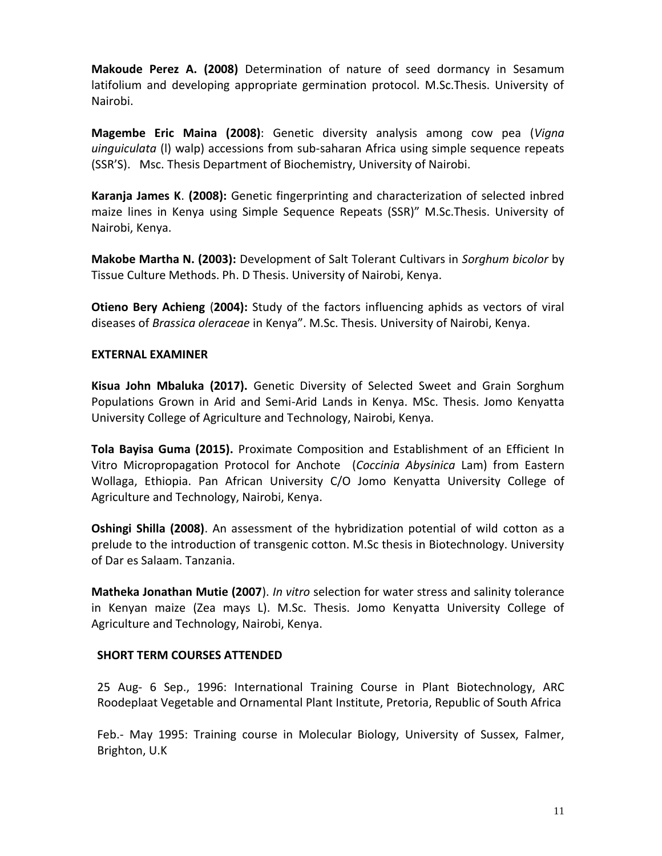**Makoude Perez A. (2008)** Determination of nature of seed dormancy in Sesamum latifolium and developing appropriate germination protocol. M.Sc.Thesis. University of Nairobi.

**Magembe Eric Maina (2008)**: Genetic diversity analysis among cow pea (*Vigna uinguiculata* (l) walp) accessions from sub-saharan Africa using simple sequence repeats (SSR'S). Msc. Thesis Department of Biochemistry, University of Nairobi.

**Karanja James K**. **(2008):** Genetic fingerprinting and characterization of selected inbred maize lines in Kenya using Simple Sequence Repeats (SSR)" M.Sc.Thesis. University of Nairobi, Kenya.

**Makobe Martha N. (2003):** Development of Salt Tolerant Cultivars in *Sorghum bicolor* by Tissue Culture Methods. Ph. D Thesis. University of Nairobi, Kenya.

**Otieno Bery Achieng** (**2004):** Study of the factors influencing aphids as vectors of viral diseases of *Brassica oleraceae* in Kenya". M.Sc. Thesis. University of Nairobi, Kenya.

#### **EXTERNAL EXAMINER**

**Kisua John Mbaluka (2017).** Genetic Diversity of Selected Sweet and Grain Sorghum Populations Grown in Arid and Semi-Arid Lands in Kenya. MSc. Thesis. Jomo Kenyatta University College of Agriculture and Technology, Nairobi, Kenya.

**Tola Bayisa Guma (2015).** Proximate Composition and Establishment of an Efficient In Vitro Micropropagation Protocol for Anchote (*Coccinia Abysinica* Lam) from Eastern Wollaga, Ethiopia. Pan African University C/O Jomo Kenyatta University College of Agriculture and Technology, Nairobi, Kenya.

**Oshingi Shilla (2008)**. An assessment of the hybridization potential of wild cotton as a prelude to the introduction of transgenic cotton. M.Sc thesis in Biotechnology. University of Dar es Salaam. Tanzania.

**Matheka Jonathan Mutie (2007**). *In vitro* selection for water stress and salinity tolerance in Kenyan maize (Zea mays L). M.Sc. Thesis. Jomo Kenyatta University College of Agriculture and Technology, Nairobi, Kenya.

#### **SHORT TERM COURSES ATTENDED**

25 Aug- 6 Sep., 1996: International Training Course in Plant Biotechnology, ARC Roodeplaat Vegetable and Ornamental Plant Institute, Pretoria, Republic of South Africa

Feb.- May 1995: Training course in Molecular Biology, University of Sussex, Falmer, Brighton, U.K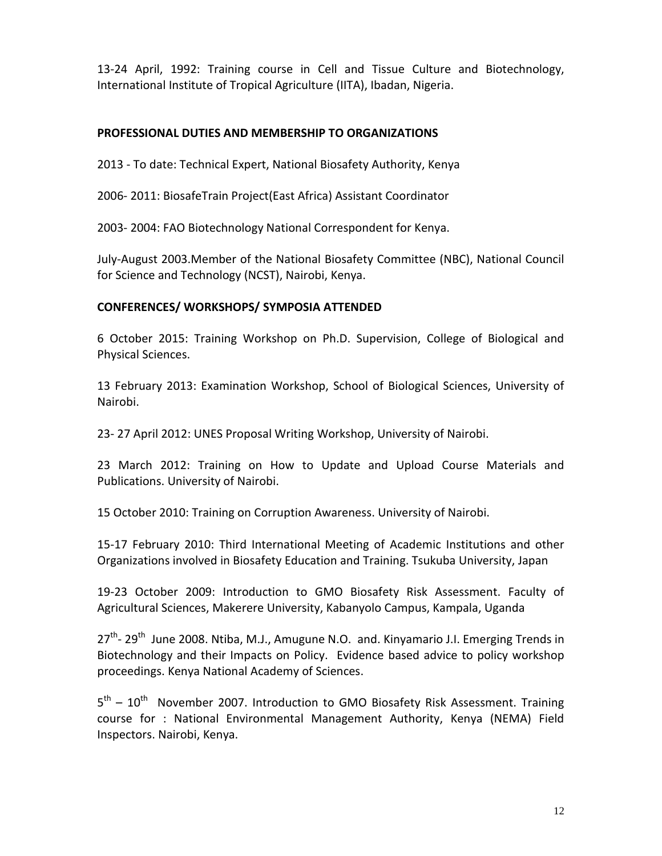13-24 April, 1992: Training course in Cell and Tissue Culture and Biotechnology, International Institute of Tropical Agriculture (IITA), Ibadan, Nigeria.

#### **PROFESSIONAL DUTIES AND MEMBERSHIP TO ORGANIZATIONS**

2013 - To date: Technical Expert, National Biosafety Authority, Kenya

2006- 2011: BiosafeTrain Project(East Africa) Assistant Coordinator

2003- 2004: FAO Biotechnology National Correspondent for Kenya.

July-August 2003.Member of the National Biosafety Committee (NBC), National Council for Science and Technology (NCST), Nairobi, Kenya.

#### **CONFERENCES/ WORKSHOPS/ SYMPOSIA ATTENDED**

6 October 2015: Training Workshop on Ph.D. Supervision, College of Biological and Physical Sciences.

13 February 2013: Examination Workshop, School of Biological Sciences, University of Nairobi.

23- 27 April 2012: UNES Proposal Writing Workshop, University of Nairobi.

23 March 2012: Training on How to Update and Upload Course Materials and Publications. University of Nairobi.

15 October 2010: Training on Corruption Awareness. University of Nairobi.

15-17 February 2010: Third International Meeting of Academic Institutions and other Organizations involved in Biosafety Education and Training. Tsukuba University, Japan

19-23 October 2009: Introduction to GMO Biosafety Risk Assessment. Faculty of Agricultural Sciences, Makerere University, Kabanyolo Campus, Kampala, Uganda

27<sup>th</sup>- 29<sup>th</sup> June 2008. Ntiba, M.J., Amugune N.O. and. Kinyamario J.I. Emerging Trends in Biotechnology and their Impacts on Policy. Evidence based advice to policy workshop proceedings. Kenya National Academy of Sciences.

5<sup>th</sup> – 10<sup>th</sup> November 2007. Introduction to GMO Biosafety Risk Assessment. Training course for : National Environmental Management Authority, Kenya (NEMA) Field Inspectors. Nairobi, Kenya.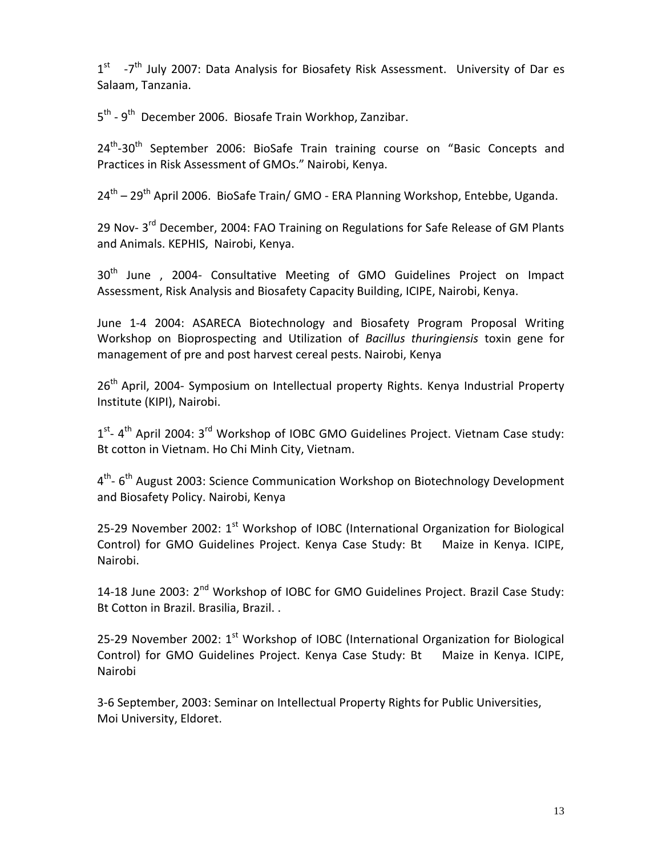1<sup>st</sup> -7<sup>th</sup> July 2007: Data Analysis for Biosafety Risk Assessment. University of Dar es Salaam, Tanzania.

5<sup>th</sup> - 9<sup>th</sup> December 2006. Biosafe Train Workhop, Zanzibar.

24<sup>th</sup>-30<sup>th</sup> September 2006: BioSafe Train training course on "Basic Concepts and Practices in Risk Assessment of GMOs." Nairobi, Kenya.

24<sup>th</sup> – 29<sup>th</sup> April 2006. BioSafe Train/ GMO - ERA Planning Workshop, Entebbe, Uganda.

29 Nov- 3<sup>rd</sup> December, 2004: FAO Training on Regulations for Safe Release of GM Plants and Animals. KEPHIS, Nairobi, Kenya.

30<sup>th</sup> June , 2004- Consultative Meeting of GMO Guidelines Project on Impact Assessment, Risk Analysis and Biosafety Capacity Building, ICIPE, Nairobi, Kenya.

June 1-4 2004: ASARECA Biotechnology and Biosafety Program Proposal Writing Workshop on Bioprospecting and Utilization of *Bacillus thuringiensis* toxin gene for management of pre and post harvest cereal pests. Nairobi, Kenya

26<sup>th</sup> April, 2004- Symposium on Intellectual property Rights. Kenya Industrial Property Institute (KIPI), Nairobi.

1<sup>st</sup>- 4<sup>th</sup> April 2004: 3<sup>rd</sup> Workshop of IOBC GMO Guidelines Project. Vietnam Case study: Bt cotton in Vietnam. Ho Chi Minh City, Vietnam.

4<sup>th</sup>- 6<sup>th</sup> August 2003: Science Communication Workshop on Biotechnology Development and Biosafety Policy. Nairobi, Kenya

25-29 November 2002:  $1^{st}$  Workshop of IOBC (International Organization for Biological Control) for GMO Guidelines Project. Kenya Case Study: Bt Maize in Kenya. ICIPE, Nairobi.

14-18 June 2003: 2<sup>nd</sup> Workshop of IOBC for GMO Guidelines Project. Brazil Case Study: Bt Cotton in Brazil. Brasilia, Brazil. .

25-29 November 2002:  $1^{st}$  Workshop of IOBC (International Organization for Biological Control) for GMO Guidelines Project. Kenya Case Study: Bt Maize in Kenya. ICIPE, Nairobi

3-6 September, 2003: Seminar on Intellectual Property Rights for Public Universities, Moi University, Eldoret.